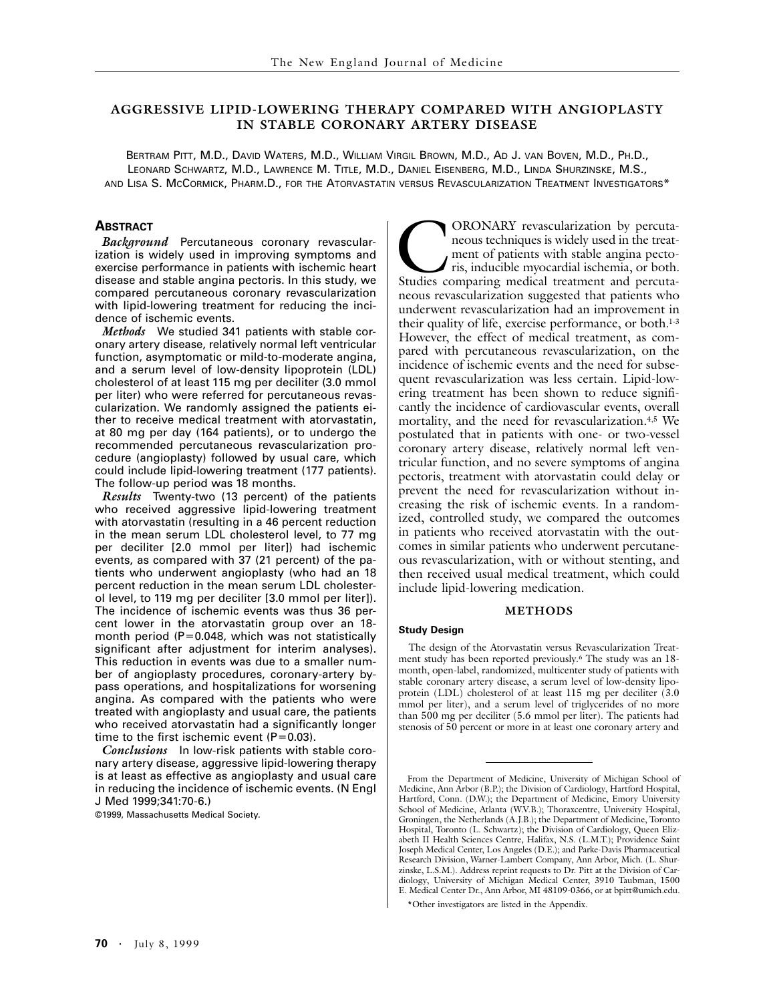# **AGGRESSIVE LIPID-LOWERING THERAPY COMPARED WITH ANGIOPLASTY IN STABLE CORONARY ARTERY DISEASE**

BERTRAM PITT, M.D., DAVID WATERS, M.D., WILLIAM VIRGIL BROWN, M.D., AD J. VAN BOVEN, M.D., PH.D., LEONARD SCHWARTZ, M.D., LAWRENCE M. TITLE, M.D., DANIEL EISENBERG, M.D., LINDA SHURZINSKE, M.S., AND LISA S. MCCORMICK, PHARM.D., FOR THE ATORVASTATIN VERSUS REVASCULARIZATION TREATMENT INVESTIGATORS\*

# **ABSTRACT**

*Background* Percutaneous coronary revascularization is widely used in improving symptoms and exercise performance in patients with ischemic heart disease and stable angina pectoris. In this study, we compared percutaneous coronary revascularization with lipid-lowering treatment for reducing the incidence of ischemic events.

*Methods* We studied 341 patients with stable coronary artery disease, relatively normal left ventricular function, asymptomatic or mild-to-moderate angina, and a serum level of low-density lipoprotein (LDL) cholesterol of at least 115 mg per deciliter (3.0 mmol per liter) who were referred for percutaneous revascularization. We randomly assigned the patients either to receive medical treatment with atorvastatin, at 80 mg per day (164 patients), or to undergo the recommended percutaneous revascularization procedure (angioplasty) followed by usual care, which could include lipid-lowering treatment (177 patients). The follow-up period was 18 months.

*Results* Twenty-two (13 percent) of the patients who received aggressive lipid-lowering treatment with atorvastatin (resulting in a 46 percent reduction in the mean serum LDL cholesterol level, to 77 mg per deciliter [2.0 mmol per liter]) had ischemic events, as compared with 37 (21 percent) of the patients who underwent angioplasty (who had an 18 percent reduction in the mean serum LDL cholesterol level, to 119 mg per deciliter [3.0 mmol per liter]). The incidence of ischemic events was thus 36 percent lower in the atorvastatin group over an 18 month period  $(P=0.048$ , which was not statistically significant after adjustment for interim analyses). This reduction in events was due to a smaller number of angioplasty procedures, coronary-artery bypass operations, and hospitalizations for worsening angina. As compared with the patients who were treated with angioplasty and usual care, the patients who received atorvastatin had a significantly longer time to the first ischemic event  $(P=0.03)$ .

*Conclusions* In low-risk patients with stable coronary artery disease, aggressive lipid-lowering therapy is at least as effective as angioplasty and usual care in reducing the incidence of ischemic events. (N Engl J Med 1999;341:70-6.)

©1999, Massachusetts Medical Society.

ORONARY revascularization by percutaneous techniques is widely used in the treatment of patients with stable angina pectoris, inducible myocardial ischemia, or both. ORONARY revascularization by percuta-<br>neous techniques is widely used in the treat-<br>ment of patients with stable angina pecto-<br>ris, inducible myocardial ischemia, or both.<br>Studies comparing medical treatment and percutaneous revascularization suggested that patients who underwent revascularization had an improvement in their quality of life, exercise performance, or both.1-3 However, the effect of medical treatment, as compared with percutaneous revascularization, on the incidence of ischemic events and the need for subsequent revascularization was less certain. Lipid-lowering treatment has been shown to reduce significantly the incidence of cardiovascular events, overall mortality, and the need for revascularization.4,5 We postulated that in patients with one- or two-vessel coronary artery disease, relatively normal left ventricular function, and no severe symptoms of angina pectoris, treatment with atorvastatin could delay or prevent the need for revascularization without increasing the risk of ischemic events. In a randomized, controlled study, we compared the outcomes in patients who received atorvastatin with the outcomes in similar patients who underwent percutaneous revascularization, with or without stenting, and then received usual medical treatment, which could include lipid-lowering medication.

## **METHODS**

### **Study Design**

The design of the Atorvastatin versus Revascularization Treatment study has been reported previously.6 The study was an 18 month, open-label, randomized, multicenter study of patients with stable coronary artery disease, a serum level of low-density lipoprotein (LDL) cholesterol of at least 115 mg per deciliter (3.0 mmol per liter), and a serum level of triglycerides of no more than 500 mg per deciliter (5.6 mmol per liter). The patients had stenosis of 50 percent or more in at least one coronary artery and

From the Department of Medicine, University of Michigan School of Medicine, Ann Arbor (B.P.); the Division of Cardiology, Hartford Hospital, Hartford, Conn. (D.W.); the Department of Medicine, Emory University School of Medicine, Atlanta (W.V.B.); Thoraxcentre, University Hospital, Groningen, the Netherlands (A.J.B.); the Department of Medicine, Toronto Hospital, Toronto (L. Schwartz); the Division of Cardiology, Queen Elizabeth II Health Sciences Centre, Halifax, N.S. (L.M.T.); Providence Saint Joseph Medical Center, Los Angeles (D.E.); and Parke-Davis Pharmaceutical Research Division, Warner-Lambert Company, Ann Arbor, Mich. (L. Shurzinske, L.S.M.). Address reprint requests to Dr. Pitt at the Division of Cardiology, University of Michigan Medical Center, 3910 Taubman, 1500 E. Medical Center Dr., Ann Arbor, MI 48109-0366, or at bpitt@umich.edu.

<sup>\*</sup>Other investigators are listed in the Appendix.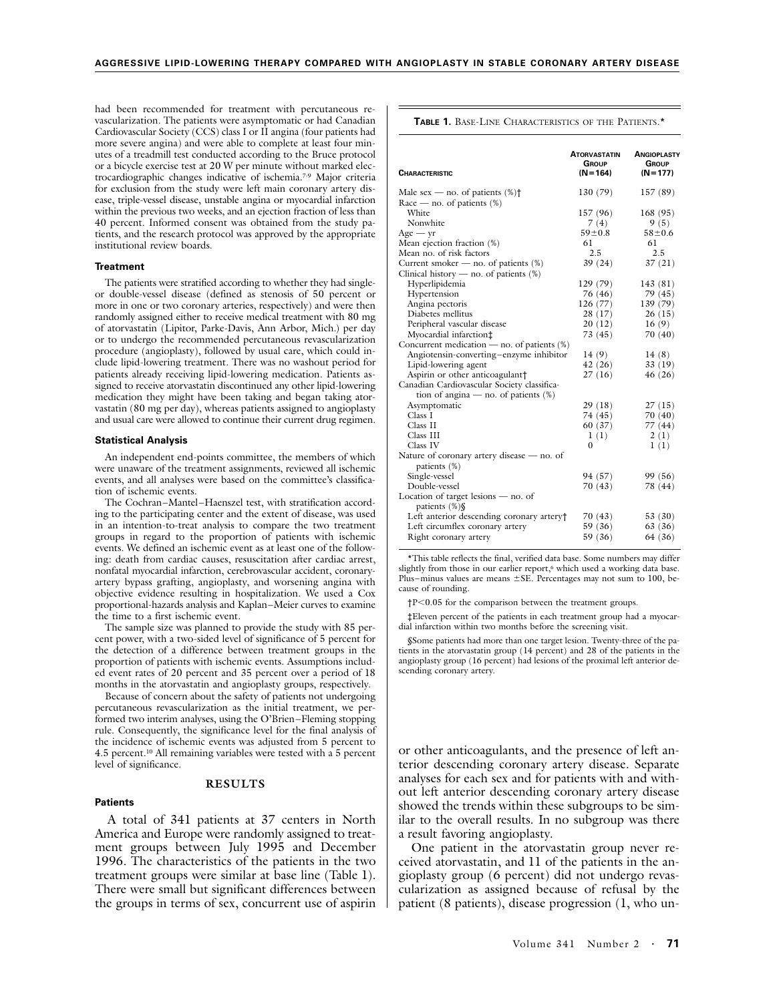had been recommended for treatment with percutaneous revascularization. The patients were asymptomatic or had Canadian Cardiovascular Society (CCS) class I or II angina (four patients had more severe angina) and were able to complete at least four minutes of a treadmill test conducted according to the Bruce protocol or a bicycle exercise test at 20 W per minute without marked electrocardiographic changes indicative of ischemia.7-9 Major criteria for exclusion from the study were left main coronary artery disease, triple-vessel disease, unstable angina or myocardial infarction within the previous two weeks, and an ejection fraction of less than 40 percent. Informed consent was obtained from the study patients, and the research protocol was approved by the appropriate institutional review boards.

#### **Treatment**

The patients were stratified according to whether they had singleor double-vessel disease (defined as stenosis of 50 percent or more in one or two coronary arteries, respectively) and were then randomly assigned either to receive medical treatment with 80 mg of atorvastatin (Lipitor, Parke-Davis, Ann Arbor, Mich.) per day or to undergo the recommended percutaneous revascularization procedure (angioplasty), followed by usual care, which could include lipid-lowering treatment. There was no washout period for patients already receiving lipid-lowering medication. Patients assigned to receive atorvastatin discontinued any other lipid-lowering medication they might have been taking and began taking atorvastatin (80 mg per day), whereas patients assigned to angioplasty and usual care were allowed to continue their current drug regimen.

### **Statistical Analysis**

An independent end-points committee, the members of which were unaware of the treatment assignments, reviewed all ischemic events, and all analyses were based on the committee's classification of ischemic events.

The Cochran–Mantel–Haenszel test, with stratification according to the participating center and the extent of disease, was used in an intention-to-treat analysis to compare the two treatment groups in regard to the proportion of patients with ischemic events. We defined an ischemic event as at least one of the following: death from cardiac causes, resuscitation after cardiac arrest, nonfatal myocardial infarction, cerebrovascular accident, coronaryartery bypass grafting, angioplasty, and worsening angina with objective evidence resulting in hospitalization. We used a Cox proportional-hazards analysis and Kaplan–Meier curves to examine the time to a first ischemic event.

The sample size was planned to provide the study with 85 percent power, with a two-sided level of significance of 5 percent for the detection of a difference between treatment groups in the proportion of patients with ischemic events. Assumptions included event rates of 20 percent and 35 percent over a period of 18 months in the atorvastatin and angioplasty groups, respectively.

Because of concern about the safety of patients not undergoing percutaneous revascularization as the initial treatment, we performed two interim analyses, using the O'Brien–Fleming stopping rule. Consequently, the significance level for the final analysis of the incidence of ischemic events was adjusted from 5 percent to 4.5 percent.10 All remaining variables were tested with a 5 percent level of significance.

## **RESULTS**

### **Patients**

A total of 341 patients at 37 centers in North America and Europe were randomly assigned to treatment groups between July 1995 and December 1996. The characteristics of the patients in the two treatment groups were similar at base line (Table 1). There were small but significant differences between the groups in terms of sex, concurrent use of aspirin

#### **TABLE 1.** BASE-LINE CHARACTERISTICS OF THE PATIENTS.\*

| <b>CHARACTERISTIC</b>                                      | <b>ATORVASTATIN</b><br><b>GROUP</b><br>$(N = 164)$ | ANGIOPLASTY<br><b>GROUP</b><br>$(N = 177)$ |
|------------------------------------------------------------|----------------------------------------------------|--------------------------------------------|
| Male sex — no. of patients $(\%)\uparrow$                  | 130(79)                                            | 157 (89)                                   |
| Race — no. of patients $(\%)$                              |                                                    |                                            |
| White                                                      | 157 (96)                                           | 168 (95)                                   |
| Nonwhite                                                   | 7(4)                                               | 9(5)                                       |
| $Age - yr$                                                 | $59 \pm 0.8$                                       | $58 + 0.6$                                 |
| Mean ejection fraction (%)                                 | 61.                                                | 61                                         |
| Mean no. of risk factors                                   | 2.5                                                | 2.5                                        |
| Current smoker - no. of patients (%)                       | 39(24)                                             | 37(21)                                     |
| Clinical history - no. of patients (%)                     |                                                    |                                            |
| Hyperlipidemia                                             | 129(79)                                            | 143(81)                                    |
| Hypertension                                               | 76 (46)                                            | 79 (45)                                    |
| Angina pectoris                                            | 126(77)                                            | 139 (79)                                   |
| Diabetes mellitus                                          | 28(17)                                             | 26(15)                                     |
| Peripheral vascular disease                                | 20(12)                                             | 16(9)                                      |
| Myocardial infarction <sup>+</sup>                         | 73 (45)                                            | 70 (40)                                    |
| Concurrent medication — no. of patients (%)                |                                                    |                                            |
| Angiotensin-converting-enzyme inhibitor                    | 14(9)                                              | 14(8)                                      |
| Lipid-lowering agent                                       | 42 (26)                                            | 33 (19)                                    |
| Aspirin or other anticoagulant†                            | 27(16)                                             | 46(26)                                     |
| Canadian Cardiovascular Society classifica-                |                                                    |                                            |
| tion of angina — no. of patients $(\%)$                    |                                                    |                                            |
| Asymptomatic                                               | 29(18)                                             | 27 (15)                                    |
| Class I                                                    | 74 (45)                                            | 70 (40)                                    |
| Class II                                                   | 60 (37)                                            | 77 (44)                                    |
| Class III                                                  | 1(1)                                               | 2(1)                                       |
| Class IV                                                   | 0                                                  | 1(1)                                       |
| Nature of coronary artery disease — no. of<br>patients (%) |                                                    |                                            |
| Single-vessel                                              | 94 (57)                                            | 99 (56)                                    |
| Double-vessel                                              | 70 (43)                                            | 78 (44)                                    |
| Location of target lesions - no. of                        |                                                    |                                            |
| patients (%)§                                              |                                                    |                                            |
| Left anterior descending coronary artery†                  | 70 (43)                                            | 53 (30)                                    |
| Left circumflex coronary artery                            | 59 (36)                                            | 63 (36)                                    |
|                                                            | 59 (36)                                            |                                            |
| Right coronary artery                                      |                                                    | 64 (36)                                    |

\*This table reflects the final, verified data base. Some numbers may differ slightly from those in our earlier report,<sup>6</sup> which used a working data base. Plus–minus values are means ±SE. Percentages may not sum to 100, because of rounding.

†P<0.05 for the comparison between the treatment groups.

‡Eleven percent of the patients in each treatment group had a myocardial infarction within two months before the screening visit.

§Some patients had more than one target lesion. Twenty-three of the patients in the atorvastatin group (14 percent) and 28 of the patients in the angioplasty group (16 percent) had lesions of the proximal left anterior descending coronary artery.

or other anticoagulants, and the presence of left anterior descending coronary artery disease. Separate analyses for each sex and for patients with and without left anterior descending coronary artery disease showed the trends within these subgroups to be similar to the overall results. In no subgroup was there a result favoring angioplasty.

One patient in the atorvastatin group never received atorvastatin, and 11 of the patients in the angioplasty group (6 percent) did not undergo revascularization as assigned because of refusal by the patient (8 patients), disease progression (1, who un-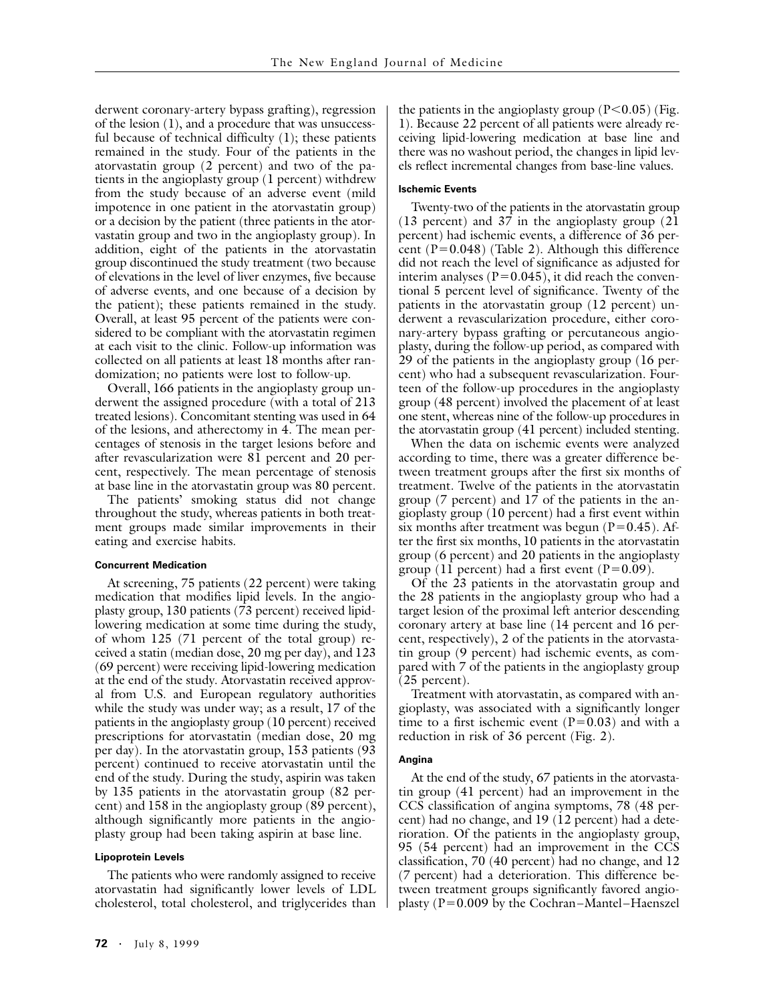derwent coronary-artery bypass grafting), regression of the lesion (1), and a procedure that was unsuccessful because of technical difficulty  $(1)$ ; these patients remained in the study. Four of the patients in the atorvastatin group (2 percent) and two of the patients in the angioplasty group (1 percent) withdrew from the study because of an adverse event (mild impotence in one patient in the atorvastatin group) or a decision by the patient (three patients in the atorvastatin group and two in the angioplasty group). In addition, eight of the patients in the atorvastatin group discontinued the study treatment (two because of elevations in the level of liver enzymes, five because of adverse events, and one because of a decision by the patient); these patients remained in the study. Overall, at least 95 percent of the patients were considered to be compliant with the atorvastatin regimen at each visit to the clinic. Follow-up information was collected on all patients at least 18 months after randomization; no patients were lost to follow-up.

Overall, 166 patients in the angioplasty group underwent the assigned procedure (with a total of 213 treated lesions). Concomitant stenting was used in 64 of the lesions, and atherectomy in 4. The mean percentages of stenosis in the target lesions before and after revascularization were 81 percent and 20 percent, respectively. The mean percentage of stenosis at base line in the atorvastatin group was 80 percent.

The patients' smoking status did not change throughout the study, whereas patients in both treatment groups made similar improvements in their eating and exercise habits.

## **Concurrent Medication**

At screening, 75 patients (22 percent) were taking medication that modifies lipid levels. In the angioplasty group, 130 patients (73 percent) received lipidlowering medication at some time during the study, of whom 125 (71 percent of the total group) received a statin (median dose, 20 mg per day), and 123 (69 percent) were receiving lipid-lowering medication at the end of the study. Atorvastatin received approval from U.S. and European regulatory authorities while the study was under way; as a result, 17 of the patients in the angioplasty group (10 percent) received prescriptions for atorvastatin (median dose, 20 mg per day). In the atorvastatin group, 153 patients (93 percent) continued to receive atorvastatin until the end of the study. During the study, aspirin was taken by 135 patients in the atorvastatin group (82 percent) and 158 in the angioplasty group (89 percent), although significantly more patients in the angioplasty group had been taking aspirin at base line.

### **Lipoprotein Levels**

The patients who were randomly assigned to receive atorvastatin had significantly lower levels of LDL cholesterol, total cholesterol, and triglycerides than

### **Ischemic Events**

Twenty-two of the patients in the atorvastatin group (13 percent) and  $37$  in the angioplasty group  $(21)$ percent) had ischemic events, a difference of 36 percent  $(P=0.048)$  (Table 2). Although this difference did not reach the level of significance as adjusted for interim analyses  $(P=0.045)$ , it did reach the conventional 5 percent level of significance. Twenty of the patients in the atorvastatin group (12 percent) underwent a revascularization procedure, either coronary-artery bypass grafting or percutaneous angioplasty, during the follow-up period, as compared with 29 of the patients in the angioplasty group (16 percent) who had a subsequent revascularization. Fourteen of the follow-up procedures in the angioplasty group (48 percent) involved the placement of at least one stent, whereas nine of the follow-up procedures in the atorvastatin group (41 percent) included stenting.

When the data on ischemic events were analyzed according to time, there was a greater difference between treatment groups after the first six months of treatment. Twelve of the patients in the atorvastatin group (7 percent) and 17 of the patients in the angioplasty group (10 percent) had a first event within six months after treatment was begun ( $P=0.45$ ). After the first six months, 10 patients in the atorvastatin group (6 percent) and 20 patients in the angioplasty group (11 percent) had a first event ( $P=0.09$ ).

Of the 23 patients in the atorvastatin group and the 28 patients in the angioplasty group who had a target lesion of the proximal left anterior descending coronary artery at base line (14 percent and 16 percent, respectively), 2 of the patients in the atorvastatin group (9 percent) had ischemic events, as compared with 7 of the patients in the angioplasty group (25 percent).

Treatment with atorvastatin, as compared with angioplasty, was associated with a significantly longer time to a first ischemic event  $(P=0.03)$  and with a reduction in risk of 36 percent (Fig. 2).

### **Angina**

At the end of the study, 67 patients in the atorvastatin group (41 percent) had an improvement in the CCS classification of angina symptoms, 78 (48 percent) had no change, and 19 (12 percent) had a deterioration. Of the patients in the angioplasty group, 95 (54 percent) had an improvement in the CCS classification, 70 (40 percent) had no change, and 12 (7 percent) had a deterioration. This difference between treatment groups significantly favored angioplasty (P=0.009 by the Cochran–Mantel–Haenszel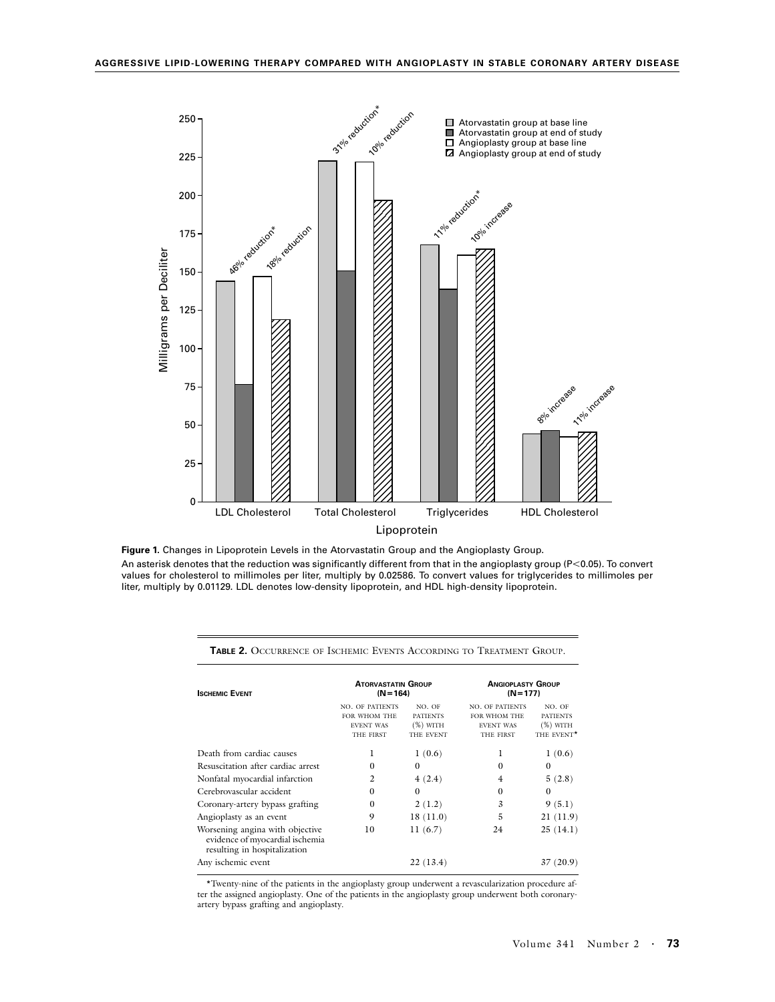

**Figure 1.** Changes in Lipoprotein Levels in the Atorvastatin Group and the Angioplasty Group. An asterisk denotes that the reduction was significantly different from that in the angioplasty group (P<0.05). To convert values for cholesterol to millimoles per liter, multiply by 0.02586. To convert values for triglycerides to millimoles per

| <b>ISCHEMIC EVENT</b>                                                                              | <b>ATORVASTATIN GROUP</b><br>$(N = 164)$ |                 | <b>ANGIOPLASTY GROUP</b><br>$(N = 177)$ |                 |
|----------------------------------------------------------------------------------------------------|------------------------------------------|-----------------|-----------------------------------------|-----------------|
|                                                                                                    | <b>NO. OF PATIENTS</b>                   | NO. OF          | <b>NO. OF PATIENTS</b>                  | NO. OF          |
|                                                                                                    | FOR WHOM THE                             | <b>PATTENTS</b> | FOR WHOM THE                            | <b>PATTENTS</b> |
|                                                                                                    | <b>EVENT WAS</b>                         | (%) with        | <b>EVENT WAS</b>                        | $(\%)$ with     |
|                                                                                                    | THE FIRST                                | THE EVENT       | THE FIRST                               | THE EVENT*      |
| Death from cardiac causes                                                                          | 1                                        | 1(0.6)          | ı                                       | 1(0.6)          |
| Resuscitation after cardiac arrest                                                                 | $\Omega$                                 | $\Omega$        | $\Omega$                                | $\Omega$        |
| Nonfatal myocardial infarction                                                                     | $\overline{c}$                           | 4(2.4)          | 4                                       | 5(2.8)          |
| Cerebrovascular accident                                                                           | $\Omega$                                 | $\Omega$        | $\Omega$                                | $\Omega$        |
| Coronary-artery bypass grafting                                                                    | $\mathbf{0}$                             | 2(1.2)          | 3                                       | 9(5.1)          |
| Angioplasty as an event                                                                            | 9                                        | 18(11.0)        | 5                                       | 21(11.9)        |
| Worsening angina with objective<br>evidence of myocardial ischemia<br>resulting in hospitalization | 10                                       | 11(6.7)         | 24                                      | 25(14.1)        |
| Any ischemic event                                                                                 |                                          | 22(13.4)        |                                         | 37(20.9)        |

**TABLE 2.** OCCURRENCE OF ISCHEMIC EVENTS ACCORDING TO TREATMENT GROUP.

\*Twenty-nine of the patients in the angioplasty group underwent a revascularization procedure after the assigned angioplasty. One of the patients in the angioplasty group underwent both coronaryartery bypass grafting and angioplasty.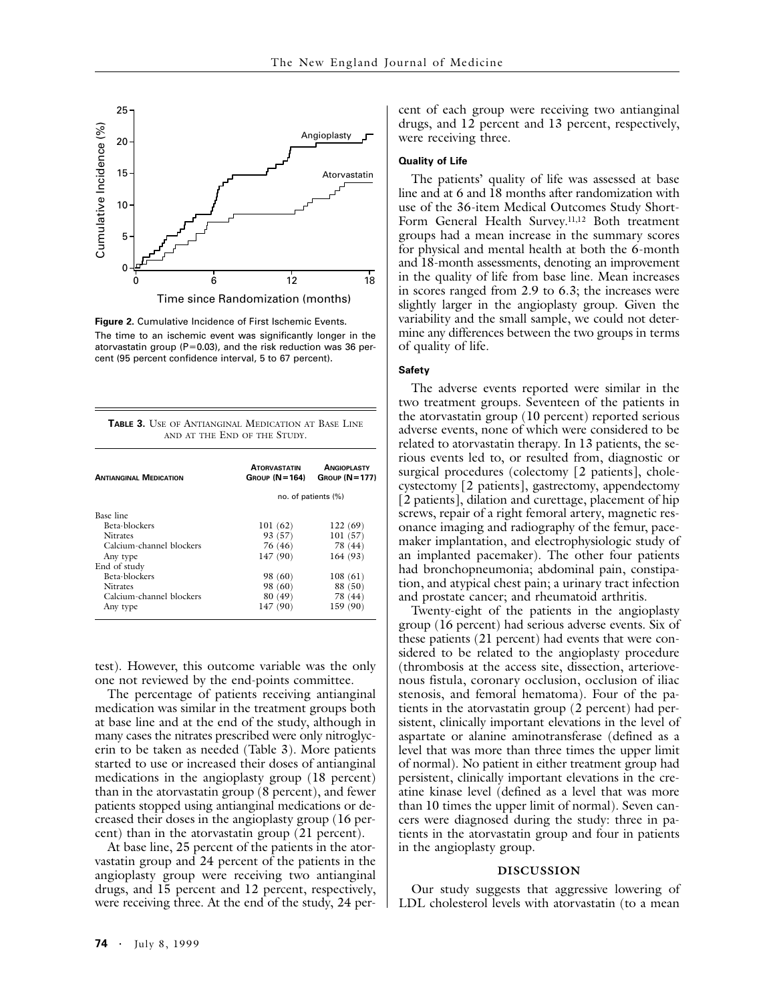

**Figure 2.** Cumulative Incidence of First Ischemic Events. The time to an ischemic event was significantly longer in the atorvastatin group (P=0.03), and the risk reduction was 36 percent (95 percent confidence interval, 5 to 67 percent).

| <b>TABLE 3.</b> USE OF ANTIANGINAL MEDICATION AT BASE LINE |
|------------------------------------------------------------|
| AND AT THE END OF THE STUDY.                               |

| <b>ANTIANGINAL MEDICATION</b> | <b>ATORVASTATIN</b><br>GROUP $(N=164)$ | <b>ANGIOPI ASTV</b><br>GROUP $(N=177)$ |  |  |
|-------------------------------|----------------------------------------|----------------------------------------|--|--|
|                               |                                        | no. of patients (%)                    |  |  |
| Base line                     |                                        |                                        |  |  |
| Beta-blockers                 | 101(62)                                | 122(69)                                |  |  |
| <b>Nitrates</b>               | 93 (57)                                | 101(57)                                |  |  |
| Calcium-channel blockers      | 76 (46)                                | 78 (44)                                |  |  |
| Any type                      | 147 (90)                               | 164(93)                                |  |  |
| End of study                  |                                        |                                        |  |  |
| Beta-blockers                 | 98 (60)                                | 108(61)                                |  |  |
| <b>Nitrates</b>               | 98 (60)                                | 88 (50)                                |  |  |
| Calcium-channel blockers      | 80 (49)                                | 78 (44)                                |  |  |
| Any type                      | 147 (90)                               | 159.<br>(90)                           |  |  |

test). However, this outcome variable was the only one not reviewed by the end-points committee.

The percentage of patients receiving antianginal medication was similar in the treatment groups both at base line and at the end of the study, although in many cases the nitrates prescribed were only nitroglycerin to be taken as needed (Table 3). More patients started to use or increased their doses of antianginal medications in the angioplasty group (18 percent) than in the atorvastatin group (8 percent), and fewer patients stopped using antianginal medications or decreased their doses in the angioplasty group (16 percent) than in the atorvastatin group (21 percent).

At base line, 25 percent of the patients in the atorvastatin group and 24 percent of the patients in the angioplasty group were receiving two antianginal drugs, and 15 percent and 12 percent, respectively, were receiving three. At the end of the study, 24 percent of each group were receiving two antianginal drugs, and 12 percent and 13 percent, respectively, were receiving three.

## **Quality of Life**

The patients' quality of life was assessed at base line and at 6 and 18 months after randomization with use of the 36-item Medical Outcomes Study Short-Form General Health Survey.11,12 Both treatment groups had a mean increase in the summary scores for physical and mental health at both the 6-month and 18-month assessments, denoting an improvement in the quality of life from base line. Mean increases in scores ranged from 2.9 to 6.3; the increases were slightly larger in the angioplasty group. Given the variability and the small sample, we could not determine any differences between the two groups in terms of quality of life.

## **Safety**

The adverse events reported were similar in the two treatment groups. Seventeen of the patients in the atorvastatin group (10 percent) reported serious adverse events, none of which were considered to be related to atorvastatin therapy. In 13 patients, the serious events led to, or resulted from, diagnostic or surgical procedures (colectomy [2 patients], cholecystectomy [2 patients], gastrectomy, appendectomy [2 patients], dilation and curettage, placement of hip screws, repair of a right femoral artery, magnetic resonance imaging and radiography of the femur, pacemaker implantation, and electrophysiologic study of an implanted pacemaker). The other four patients had bronchopneumonia; abdominal pain, constipation, and atypical chest pain; a urinary tract infection and prostate cancer; and rheumatoid arthritis.

Twenty-eight of the patients in the angioplasty group (16 percent) had serious adverse events. Six of these patients (21 percent) had events that were considered to be related to the angioplasty procedure (thrombosis at the access site, dissection, arteriovenous fistula, coronary occlusion, occlusion of iliac stenosis, and femoral hematoma). Four of the patients in the atorvastatin group (2 percent) had persistent, clinically important elevations in the level of aspartate or alanine aminotransferase (defined as a level that was more than three times the upper limit of normal). No patient in either treatment group had persistent, clinically important elevations in the creatine kinase level (defined as a level that was more than 10 times the upper limit of normal). Seven cancers were diagnosed during the study: three in patients in the atorvastatin group and four in patients in the angioplasty group.

# **DISCUSSION**

Our study suggests that aggressive lowering of LDL cholesterol levels with atorvastatin (to a mean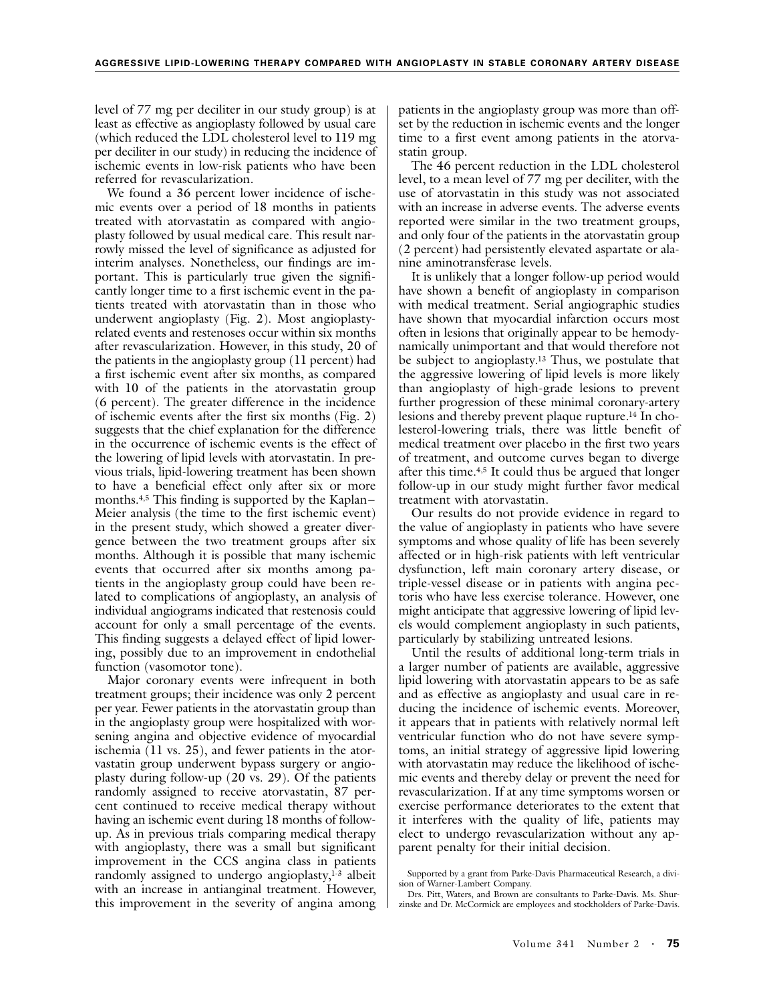level of 77 mg per deciliter in our study group) is at least as effective as angioplasty followed by usual care (which reduced the LDL cholesterol level to 119 mg per deciliter in our study) in reducing the incidence of ischemic events in low-risk patients who have been referred for revascularization.

We found a 36 percent lower incidence of ischemic events over a period of 18 months in patients treated with atorvastatin as compared with angioplasty followed by usual medical care. This result narrowly missed the level of significance as adjusted for interim analyses. Nonetheless, our findings are important. This is particularly true given the significantly longer time to a first ischemic event in the patients treated with atorvastatin than in those who underwent angioplasty (Fig. 2). Most angioplastyrelated events and restenoses occur within six months after revascularization. However, in this study, 20 of the patients in the angioplasty group (11 percent) had a first ischemic event after six months, as compared with 10 of the patients in the atorvastatin group (6 percent). The greater difference in the incidence of ischemic events after the first six months (Fig. 2) suggests that the chief explanation for the difference in the occurrence of ischemic events is the effect of the lowering of lipid levels with atorvastatin. In previous trials, lipid-lowering treatment has been shown to have a beneficial effect only after six or more months.4,5 This finding is supported by the Kaplan– Meier analysis (the time to the first ischemic event) in the present study, which showed a greater divergence between the two treatment groups after six months. Although it is possible that many ischemic events that occurred after six months among patients in the angioplasty group could have been related to complications of angioplasty, an analysis of individual angiograms indicated that restenosis could account for only a small percentage of the events. This finding suggests a delayed effect of lipid lowering, possibly due to an improvement in endothelial function (vasomotor tone).

Major coronary events were infrequent in both treatment groups; their incidence was only 2 percent per year. Fewer patients in the atorvastatin group than in the angioplasty group were hospitalized with worsening angina and objective evidence of myocardial ischemia (11 vs. 25), and fewer patients in the atorvastatin group underwent bypass surgery or angioplasty during follow-up (20 vs. 29). Of the patients randomly assigned to receive atorvastatin, 87 percent continued to receive medical therapy without having an ischemic event during 18 months of followup. As in previous trials comparing medical therapy with angioplasty, there was a small but significant improvement in the CCS angina class in patients randomly assigned to undergo angioplasty,<sup>1-3</sup> albeit with an increase in antianginal treatment. However, this improvement in the severity of angina among patients in the angioplasty group was more than offset by the reduction in ischemic events and the longer time to a first event among patients in the atorvastatin group.

The 46 percent reduction in the LDL cholesterol level, to a mean level of 77 mg per deciliter, with the use of atorvastatin in this study was not associated with an increase in adverse events. The adverse events reported were similar in the two treatment groups, and only four of the patients in the atorvastatin group (2 percent) had persistently elevated aspartate or alanine aminotransferase levels.

It is unlikely that a longer follow-up period would have shown a benefit of angioplasty in comparison with medical treatment. Serial angiographic studies have shown that myocardial infarction occurs most often in lesions that originally appear to be hemodynamically unimportant and that would therefore not be subject to angioplasty.13 Thus, we postulate that the aggressive lowering of lipid levels is more likely than angioplasty of high-grade lesions to prevent further progression of these minimal coronary-artery lesions and thereby prevent plaque rupture.14 In cholesterol-lowering trials, there was little benefit of medical treatment over placebo in the first two years of treatment, and outcome curves began to diverge after this time.4,5 It could thus be argued that longer follow-up in our study might further favor medical treatment with atorvastatin.

Our results do not provide evidence in regard to the value of angioplasty in patients who have severe symptoms and whose quality of life has been severely affected or in high-risk patients with left ventricular dysfunction, left main coronary artery disease, or triple-vessel disease or in patients with angina pectoris who have less exercise tolerance. However, one might anticipate that aggressive lowering of lipid levels would complement angioplasty in such patients, particularly by stabilizing untreated lesions.

Until the results of additional long-term trials in a larger number of patients are available, aggressive lipid lowering with atorvastatin appears to be as safe and as effective as angioplasty and usual care in reducing the incidence of ischemic events. Moreover, it appears that in patients with relatively normal left ventricular function who do not have severe symptoms, an initial strategy of aggressive lipid lowering with atorvastatin may reduce the likelihood of ischemic events and thereby delay or prevent the need for revascularization. If at any time symptoms worsen or exercise performance deteriorates to the extent that it interferes with the quality of life, patients may elect to undergo revascularization without any apparent penalty for their initial decision.

Supported by a grant from Parke-Davis Pharmaceutical Research, a division of Warner-Lambert Company.

Drs. Pitt, Waters, and Brown are consultants to Parke-Davis. Ms. Shurzinske and Dr. McCormick are employees and stockholders of Parke-Davis.